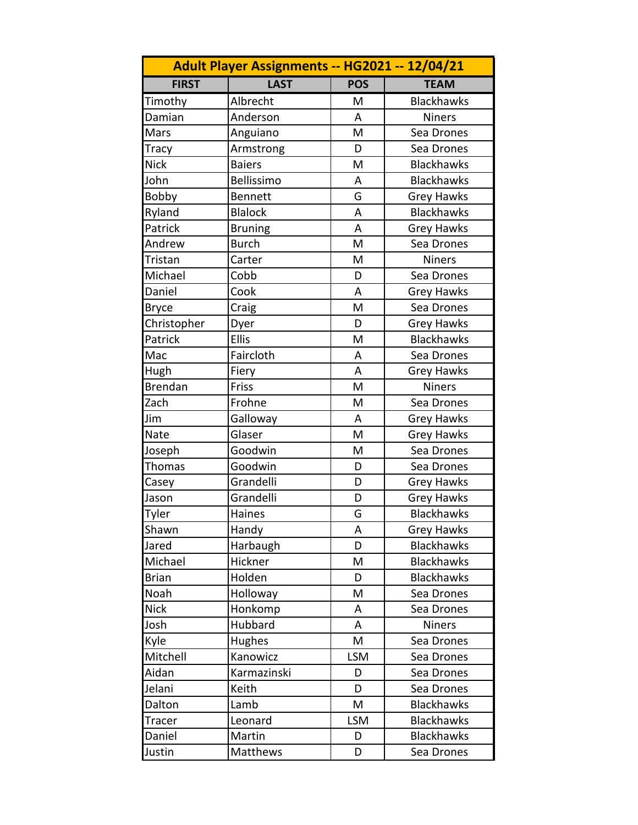|                | Adult Player Assignments -- HG2021 -- 12/04/21 |            |                   |
|----------------|------------------------------------------------|------------|-------------------|
| <b>FIRST</b>   | <b>LAST</b>                                    | <b>POS</b> | <b>TEAM</b>       |
| Timothy        | Albrecht                                       | M          | <b>Blackhawks</b> |
| Damian         | Anderson                                       | A          | <b>Niners</b>     |
| Mars           | Anguiano                                       | M          | Sea Drones        |
| <b>Tracy</b>   | Armstrong                                      | D          | Sea Drones        |
| <b>Nick</b>    | <b>Baiers</b>                                  | M          | <b>Blackhawks</b> |
| John           | Bellissimo                                     | A          | <b>Blackhawks</b> |
| Bobby          | <b>Bennett</b>                                 | G          | <b>Grey Hawks</b> |
| Ryland         | <b>Blalock</b>                                 | A          | <b>Blackhawks</b> |
| Patrick        | <b>Bruning</b>                                 | A          | <b>Grey Hawks</b> |
| Andrew         | <b>Burch</b>                                   | M          | Sea Drones        |
| Tristan        | Carter                                         | M          | <b>Niners</b>     |
| Michael        | Cobb                                           | D          | Sea Drones        |
| Daniel         | Cook                                           | A          | <b>Grey Hawks</b> |
| <b>Bryce</b>   | Craig                                          | M          | Sea Drones        |
| Christopher    | Dyer                                           | D          | <b>Grey Hawks</b> |
| Patrick        | <b>Ellis</b>                                   | M          | <b>Blackhawks</b> |
| Mac            | Faircloth                                      | A          | Sea Drones        |
| Hugh           | Fiery                                          | A          | <b>Grey Hawks</b> |
| <b>Brendan</b> | Friss                                          | M          | <b>Niners</b>     |
| Zach           | Frohne                                         | M          | Sea Drones        |
| Jim            | Galloway                                       | A          | <b>Grey Hawks</b> |
| Nate           | Glaser                                         | M          | <b>Grey Hawks</b> |
| Joseph         | Goodwin                                        | M          | Sea Drones        |
| Thomas         | Goodwin                                        | D          | Sea Drones        |
| Casey          | Grandelli                                      | D          | <b>Grey Hawks</b> |
| Jason          | Grandelli                                      | D          | <b>Grey Hawks</b> |
| <b>Tyler</b>   | Haines                                         | G          | <b>Blackhawks</b> |
| Shawn          | Handy                                          | Α          | <b>Grey Hawks</b> |
| Jared          | Harbaugh                                       | D          | <b>Blackhawks</b> |
| Michael        | Hickner                                        | M          | <b>Blackhawks</b> |
| <b>Brian</b>   | Holden                                         | D          | <b>Blackhawks</b> |
| Noah           | Holloway                                       | M          | Sea Drones        |
| <b>Nick</b>    | Honkomp                                        | A          | Sea Drones        |
| Josh           | Hubbard                                        | Α          | <b>Niners</b>     |
| Kyle           | Hughes                                         | M          | Sea Drones        |
| Mitchell       | Kanowicz                                       | <b>LSM</b> | Sea Drones        |
| Aidan          | Karmazinski                                    | D          | Sea Drones        |
| Jelani         | Keith                                          | D          | Sea Drones        |
| Dalton         | Lamb                                           | M          | <b>Blackhawks</b> |
| Tracer         | Leonard                                        | <b>LSM</b> | <b>Blackhawks</b> |
| Daniel         | Martin                                         | D          | <b>Blackhawks</b> |
| Justin         | Matthews                                       | D          | Sea Drones        |